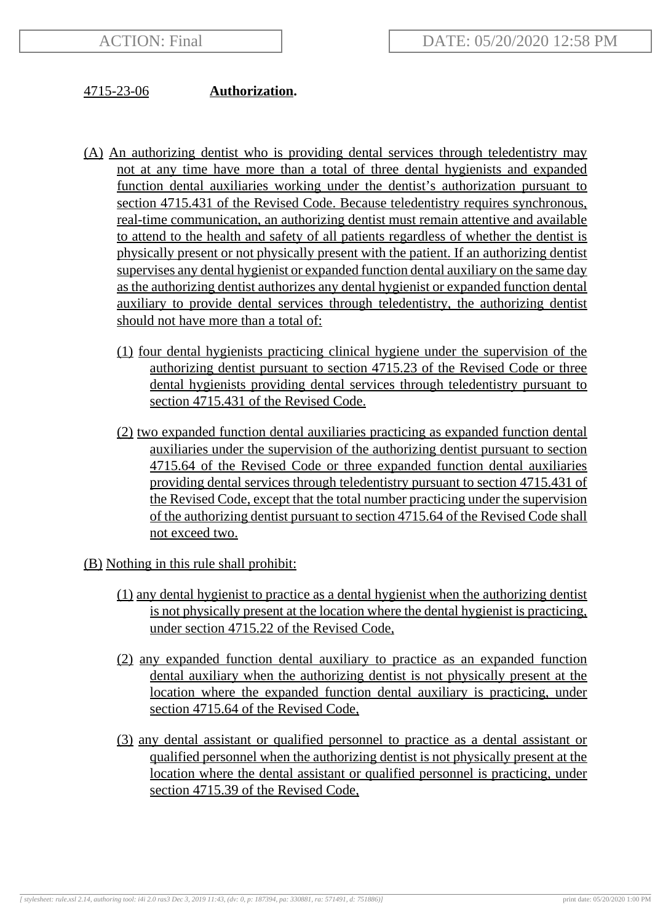## 4715-23-06 **Authorization.**

- (A) An authorizing dentist who is providing dental services through teledentistry may not at any time have more than a total of three dental hygienists and expanded function dental auxiliaries working under the dentist's authorization pursuant to section 4715.431 of the Revised Code. Because teledentistry requires synchronous, real-time communication, an authorizing dentist must remain attentive and available to attend to the health and safety of all patients regardless of whether the dentist is physically present or not physically present with the patient. If an authorizing dentist supervises any dental hygienist or expanded function dental auxiliary on the same day as the authorizing dentist authorizes any dental hygienist or expanded function dental auxiliary to provide dental services through teledentistry, the authorizing dentist should not have more than a total of:
	- (1) four dental hygienists practicing clinical hygiene under the supervision of the authorizing dentist pursuant to section 4715.23 of the Revised Code or three dental hygienists providing dental services through teledentistry pursuant to section 4715.431 of the Revised Code.
	- (2) two expanded function dental auxiliaries practicing as expanded function dental auxiliaries under the supervision of the authorizing dentist pursuant to section 4715.64 of the Revised Code or three expanded function dental auxiliaries providing dental services through teledentistry pursuant to section 4715.431 of the Revised Code, except that the total number practicing under the supervision of the authorizing dentist pursuant to section 4715.64 of the Revised Code shall not exceed two.
- (B) Nothing in this rule shall prohibit:
	- (1) any dental hygienist to practice as a dental hygienist when the authorizing dentist is not physically present at the location where the dental hygienist is practicing, under section 4715.22 of the Revised Code,
	- (2) any expanded function dental auxiliary to practice as an expanded function dental auxiliary when the authorizing dentist is not physically present at the location where the expanded function dental auxiliary is practicing, under section 4715.64 of the Revised Code,
	- (3) any dental assistant or qualified personnel to practice as a dental assistant or qualified personnel when the authorizing dentist is not physically present at the location where the dental assistant or qualified personnel is practicing, under section 4715.39 of the Revised Code,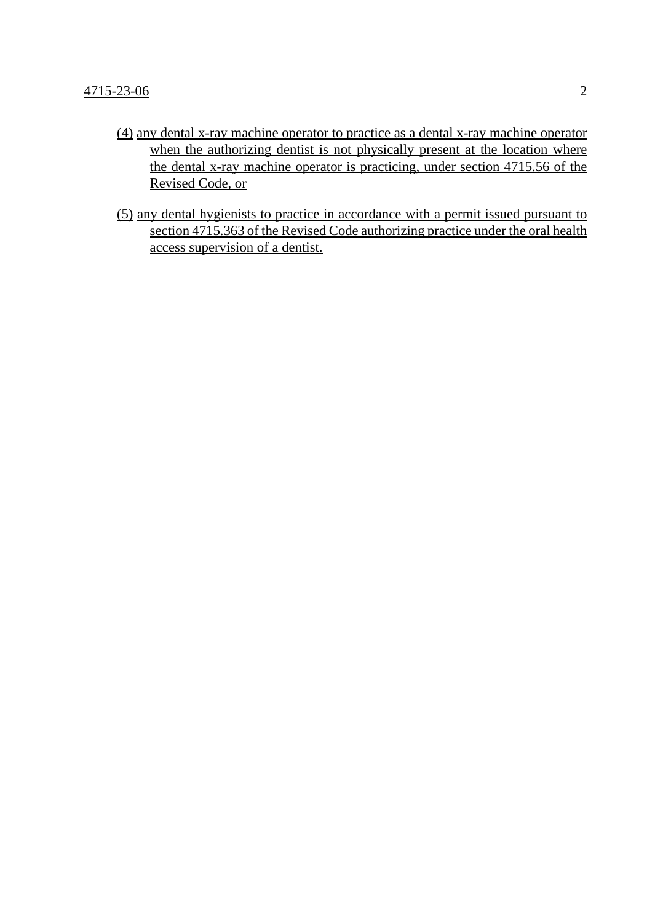- (4) any dental x-ray machine operator to practice as a dental x-ray machine operator when the authorizing dentist is not physically present at the location where the dental x-ray machine operator is practicing, under section 4715.56 of the Revised Code, or
- (5) any dental hygienists to practice in accordance with a permit issued pursuant to section 4715.363 of the Revised Code authorizing practice under the oral health access supervision of a dentist.